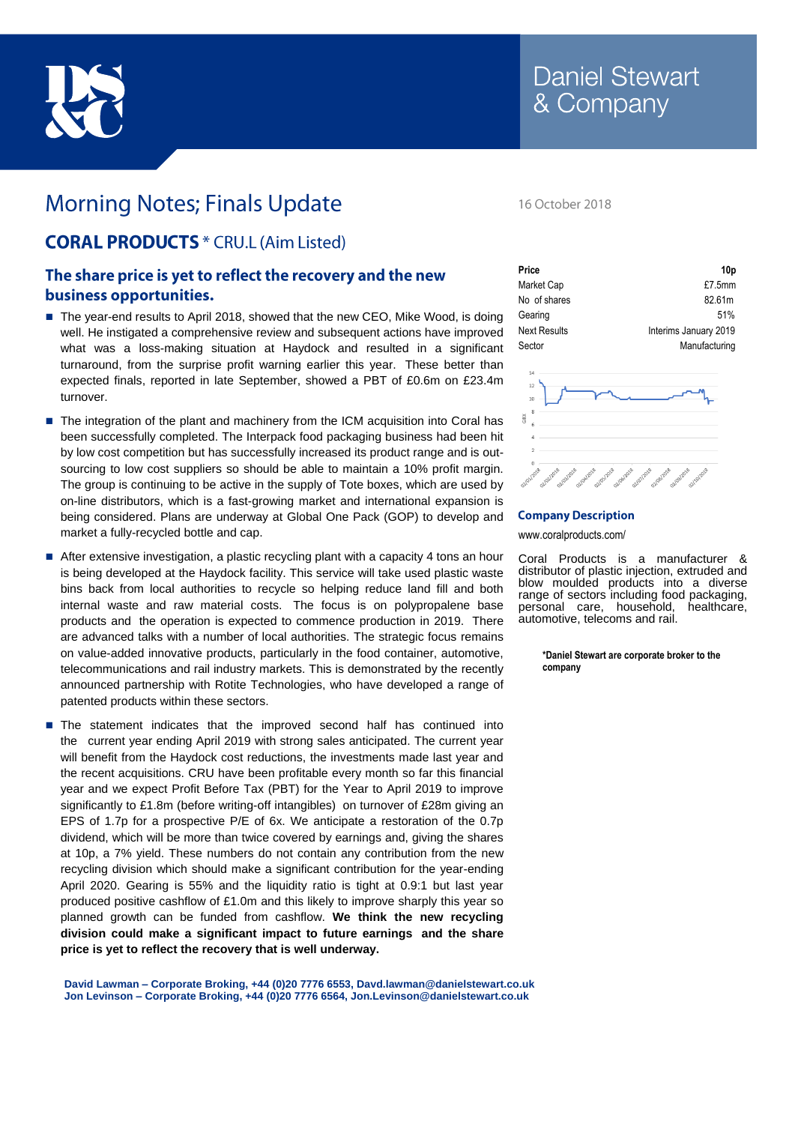

# **Morning Notes; Finals Update**

## **CORAL PRODUCTS** \* CRU.L (Aim Listed)

### The share price is yet to reflect the recovery and the new business opportunities.

- The year-end results to April 2018, showed that the new CEO, Mike Wood, is doing well. He instigated a comprehensive review and subsequent actions have improved what was a loss-making situation at Haydock and resulted in a significant turnaround, from the surprise profit warning earlier this year. These better than expected finals, reported in late September, showed a PBT of £0.6m on £23.4m turnover.
- The integration of the plant and machinery from the ICM acquisition into Coral has been successfully completed. The Interpack food packaging business had been hit by low cost competition but has successfully increased its product range and is outsourcing to low cost suppliers so should be able to maintain a 10% profit margin. The group is continuing to be active in the supply of Tote boxes, which are used by on-line distributors, which is a fast-growing market and international expansion is being considered. Plans are underway at Global One Pack (GOP) to develop and market a fully-recycled bottle and cap.
- After extensive investigation, a plastic recycling plant with a capacity 4 tons an hour is being developed at the Haydock facility. This service will take used plastic waste bins back from local authorities to recycle so helping reduce land fill and both internal waste and raw material costs. The focus is on polypropalene base products and the operation is expected to commence production in 2019. There are advanced talks with a number of local authorities. The strategic focus remains on value-added innovative products, particularly in the food container, automotive, telecommunications and rail industry markets. This is demonstrated by the recently announced partnership with Rotite Technologies, who have developed a range of patented products within these sectors.
- **The statement indicates that the improved second half has continued into** the current year ending April 2019 with strong sales anticipated. The current year will benefit from the Haydock cost reductions, the investments made last year and the recent acquisitions. CRU have been profitable every month so far this financial year and we expect Profit Before Tax (PBT) for the Year to April 2019 to improve significantly to £1.8m (before writing-off intangibles) on turnover of £28m giving an EPS of 1.7p for a prospective P/E of 6x. We anticipate a restoration of the 0.7p dividend, which will be more than twice covered by earnings and, giving the shares at 10p, a 7% yield. These numbers do not contain any contribution from the new recycling division which should make a significant contribution for the year-ending April 2020. Gearing is 55% and the liquidity ratio is tight at 0.9:1 but last year produced positive cashflow of £1.0m and this likely to improve sharply this year so planned growth can be funded from cashflow. **We think the new recycling division could make a significant impact to future earnings and the share price is yet to reflect the recovery that is well underway.**

**David Lawman – Corporate Broking, +44 (0)20 7776 6553, Davd.lawman@danielstewart.co.uk Jon Levinson – Corporate Broking, +44 (0)20 7776 6564, [Jon.Levinson@danielstewart.co.uk](mailto:Jon.Levinson@danielstewart.co.uk)**

#### 16 October 2018

| Price               | 10p                   |  |
|---------------------|-----------------------|--|
| Market Cap          | £7.5mm                |  |
| No of shares        | 82.61m                |  |
| Gearing             | 51%                   |  |
| <b>Next Results</b> | Interims January 2019 |  |
| Sector              | Manufacturing         |  |



#### **Company Description**

www.coralproducts.com/

Coral Products is a manufacturer & distributor of plastic injection, extruded and blow moulded products into a diverse range of sectors including food packaging, personal care, household, healthcare, automotive, telecoms and rail.

> **\*Daniel Stewart are corporate broker to the company**